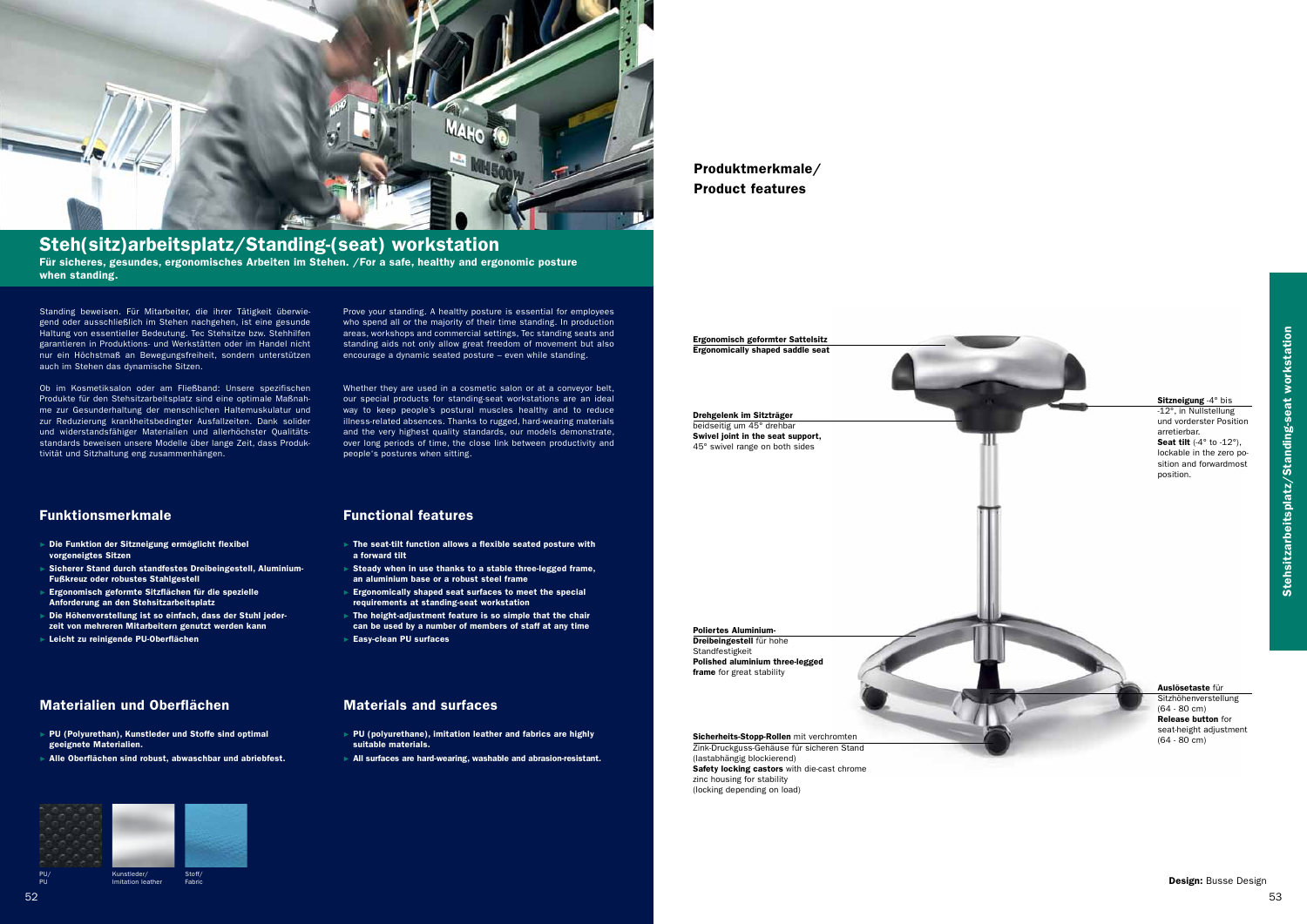

## Steh(sitz)arbeitsplatz/Standing-(seat) workstation

Standing beweisen. Für Mitarbeiter, die ihrer Tätigkeit überwiegend oder ausschließlich im Stehen nachgehen, ist eine gesunde Haltung von essentieller Bedeutung. Tec Stehsitze bzw. Stehhilfen garantieren in Produktions- und Werkstätten oder im Handel nicht nur ein Höchstmaß an Bewegungsfreiheit, sondern unterstützen auch im Stehen das dynamische Sitzen.

Ob im Kosmetiksalon oder am Fließband: Unsere spezifischen Produkte für den Stehsitzarbeitsplatz sind eine optimale Maßnahme zur Gesunderhaltung der menschlichen Haltemuskulatur und zur Reduzierung krankheitsbedingter Ausfallzeiten. Dank solider und widerstandsfähiger Materialien und allerhöchster Qualitätsstandards beweisen unsere Modelle über lange Zeit, dass Produktivität und Sitzhaltung eng zusammenhängen.

- ► The seat-tilt function allows a flexible seated posture with a forward tilt
- ► Steady when in use thanks to a stable three-legged frame, an aluminium base or a robust steel frame
- Ergonomically shaped seat surfaces to meet the special requirements at standing-seat workstation
- The height-adjustment feature is so simple that the chair can be used by a number of members of staff at any time
- Easy-clean PU surfaces

Prove your standing. A healthy posture is essential for employees who spend all or the majority of their time standing. In production areas, workshops and commercial settings, Tec standing seats and standing aids not only allow great freedom of movement but also encourage a dynamic seated posture – even while standing.

- ► Die Funktion der Sitzneigung ermöglicht flexibel vorgeneigtes Sitzen
- ► Sicherer Stand durch standfestes Dreibeingestell, Aluminium-Fußkreuz oder robustes Stahlgestell
- ► Ergonomisch geformte Sitzflächen für die spezielle Anforderung an den Stehsitzarbeitsplatz
- ► Die Höhenverstellung ist so einfach, dass der Stuhl jederzeit von mehreren Mitarbeitern genutzt werden kann
- Leicht zu reinigende PU-Oberflächen

### Materialien und Oberflächen **Materials and surfaces**

- ► PU (Polyurethan), Kunstleder und Stoffe sind optimal geeignete Materialien.
- Alle Oberflächen sind robust, abwaschbar und abriebfest.

Whether they are used in a cosmetic salon or at a conveyor belt, our special products for standing-seat workstations are an ideal way to keep people's postural muscles healthy and to reduce illness-related absences. Thanks to rugged, hard-wearing materials and the very highest quality standards, our models demonstrate, over long periods of time, the close link between productivity and people's postures when sitting.

Für sicheres, gesundes, ergonomisches Arbeiten im Stehen. /For a safe, healthy and ergonomic posture when standing.

#### Funktionsmerkmale Functional features

-12°, in Nullstellung und vorderster Position arretierbar. **Seat tilt**  $(-4° \text{ to } -12°)$ ,

#### Auslösetaste für Sitzhöhenverstellung (64 - 80 cm) Release button for seat-height adjustment  $(64 - 80 \text{ cm})$

- ► PU (polyurethane), imitation leather and fabrics are highly suitable materials.
- ► All surfaces are hard-wearing, washable and abrasion-resistant.



Ergonomisch geformter Sattelsitz Ergonomically shaped saddle seat

Drehgelenk im Sitzträger beidseitig um 45° drehbar Swivel joint in the seat support, 45° swivel range on both sides

Poliertes Aluminium-

Dreibeingestell für hohe Standfestigkeit Polished aluminium three-legged frame for great stability

Sicherheits-Stopp-Rollen mit verchromten

Zink-Druckguss-Gehäuse für sicheren Stand (lastabhängig blockierend) Safety locking castors with die-cast chrome zinc housing for stability (locking depending on load)

#### Sitzneigung -4° bis

lockable in the zero position and forwardmost position.

Produktmerkmale/ Product features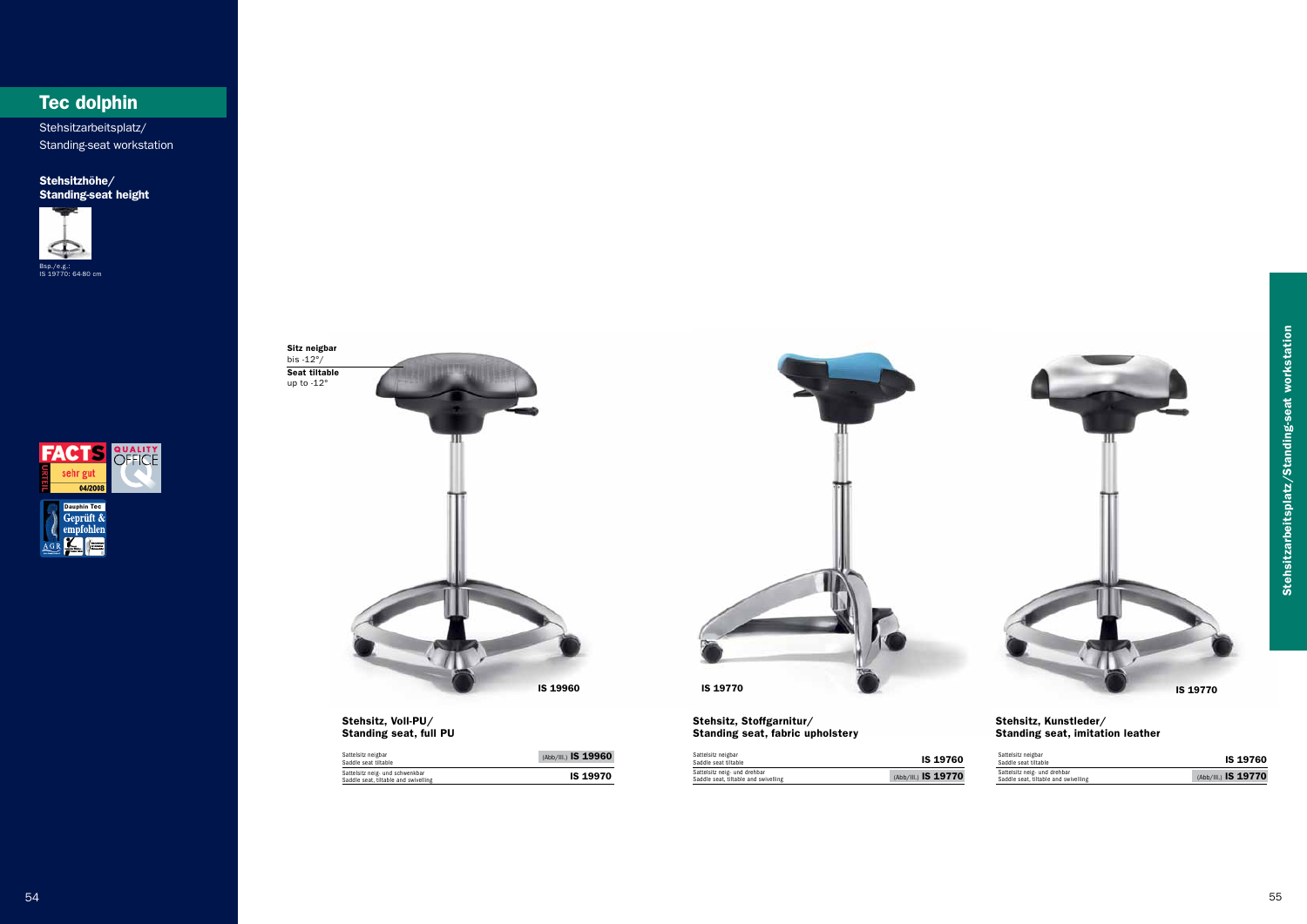

# Tec dolphin

Bsp./e.g.: IS 19770: 64-80 cm



Stehsitzhöhe/ Standing-seat height



Stehsitzarbeitsplatz/ Standing-seat workstation



Stehsitz, Voll-PU/ Standing seat, full PU



| Sattelsitz neigbar<br>Saddle seat tiltable                              | (Abb/III.) IS 19960 |
|-------------------------------------------------------------------------|---------------------|
| Sattelsitz neig- und schwenkbar<br>Saddle seat, tiltable and swivelling | <b>IS 19970</b>     |

Stehsitz, Stoffgarnitur/ Standing seat, fabric upholstery

#### Stehsitz, Kunstleder/ Standing seat, imitation leather

| Sattelsitz neigbar<br>Saddle seat tiltable                           | <b>IS 19760</b>     |
|----------------------------------------------------------------------|---------------------|
| Sattelsitz neig- und drehbar<br>Saddle seat, tiltable and swivelling | (Abb/III.) IS 19770 |

| Sattelsitz neigbar<br>Saddle seat tiltable                           | <b>IS 19760</b>     |
|----------------------------------------------------------------------|---------------------|
| Sattelsitz neig- und drehbar<br>Saddle seat, tiltable and swivelling | (Abb/III.) IS 19770 |

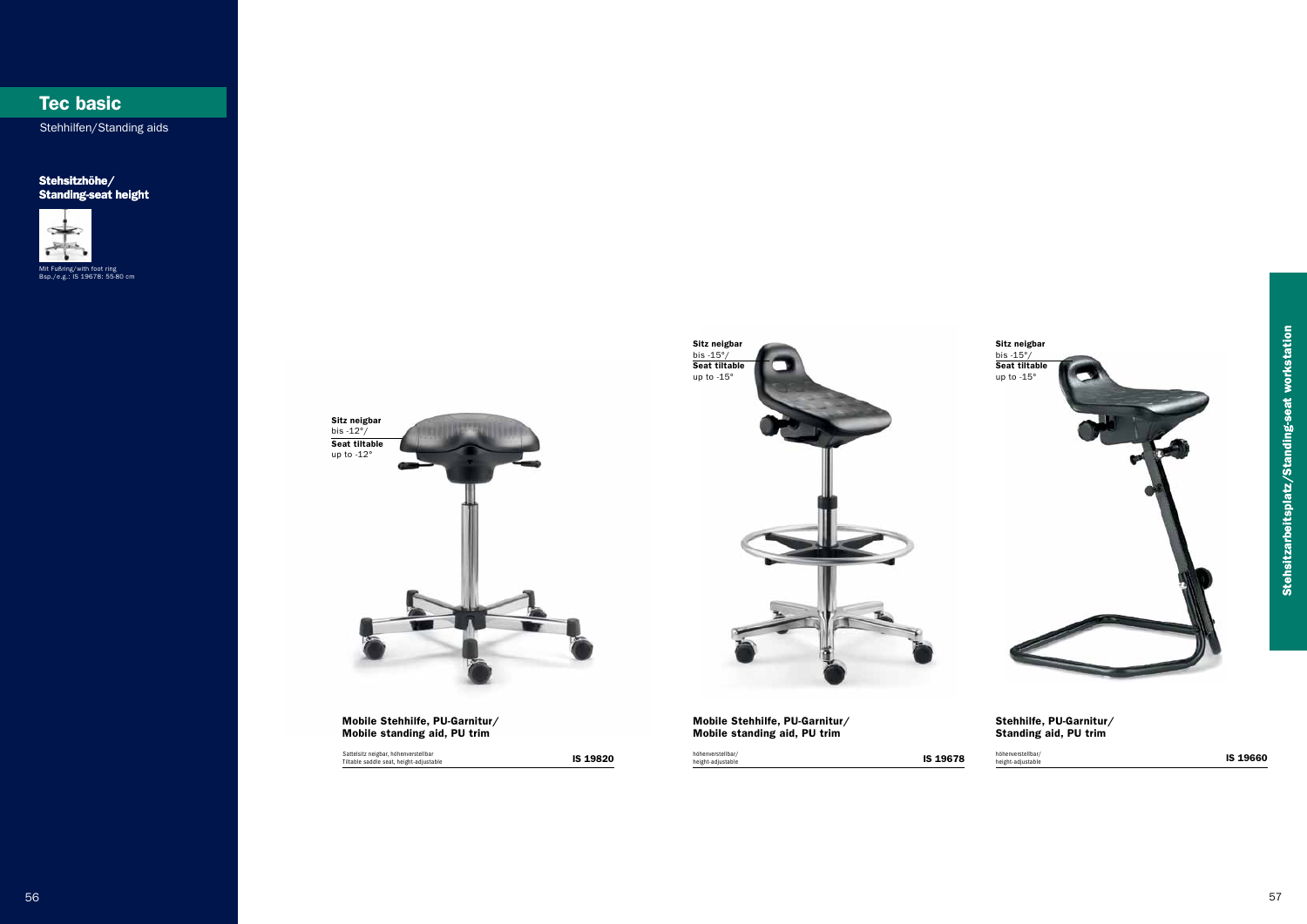IS 19820



Mobile Stehhilfe, PU-Garnitur/ Mobile standing aid, PU trim

# Tec basic

Stehhilfen/Standing aids

### Stehsitzhöhe/ Standing-seat height



#### Stehhilfe, PU-Garnitur/ Standing aid, PU trim

Mit Fußring/with foot ring Bsp./e.g.: IS 19678: 55-80 cm

höhenverstellbar/<br>IS 19678 height-adjustable **IS 19660** height-adjustable **IS 19660** höhenverstellbar/ height-adjustable

Sattelsitz neigbar, höhenverstellbar Tiltable saddle seat, height-adjustable



Mobile Stehhilfe, PU-Garnitur/ Mobile standing aid, PU trim

höhenverstellbar/<br>height-adjustable